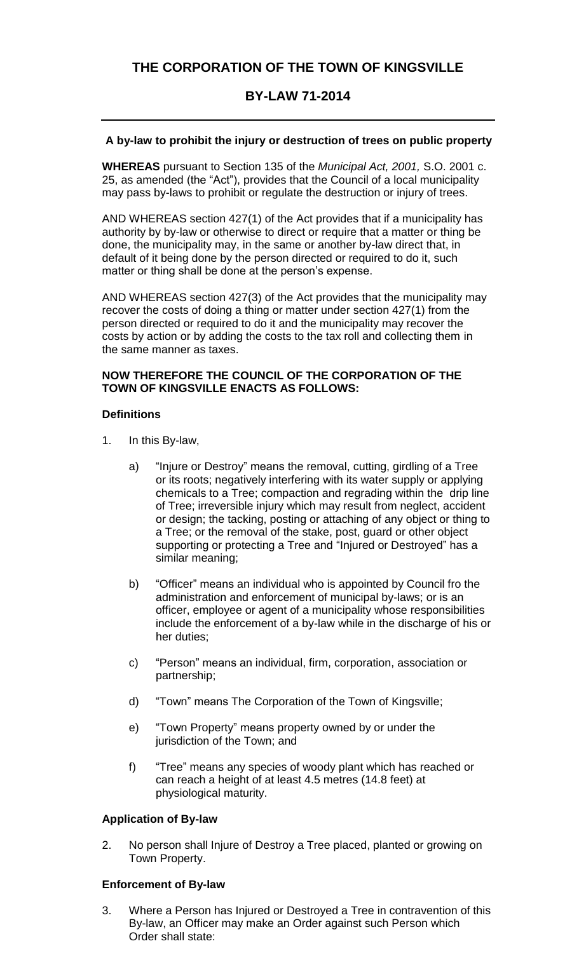# **THE CORPORATION OF THE TOWN OF KINGSVILLE**

## **BY-LAW 71-2014**

## **A by-law to prohibit the injury or destruction of trees on public property**

**WHEREAS** pursuant to Section 135 of the *Municipal Act, 2001,* S.O. 2001 c. 25, as amended (the "Act"), provides that the Council of a local municipality may pass by-laws to prohibit or regulate the destruction or injury of trees.

AND WHEREAS section 427(1) of the Act provides that if a municipality has authority by by-law or otherwise to direct or require that a matter or thing be done, the municipality may, in the same or another by-law direct that, in default of it being done by the person directed or required to do it, such matter or thing shall be done at the person's expense.

AND WHEREAS section 427(3) of the Act provides that the municipality may recover the costs of doing a thing or matter under section 427(1) from the person directed or required to do it and the municipality may recover the costs by action or by adding the costs to the tax roll and collecting them in the same manner as taxes.

## **NOW THEREFORE THE COUNCIL OF THE CORPORATION OF THE TOWN OF KINGSVILLE ENACTS AS FOLLOWS:**

## **Definitions**

- 1. In this By-law,
	- a) "Injure or Destroy" means the removal, cutting, girdling of a Tree or its roots; negatively interfering with its water supply or applying chemicals to a Tree; compaction and regrading within the drip line of Tree; irreversible injury which may result from neglect, accident or design; the tacking, posting or attaching of any object or thing to a Tree; or the removal of the stake, post, guard or other object supporting or protecting a Tree and "Injured or Destroyed" has a similar meaning;
	- b) "Officer" means an individual who is appointed by Council fro the administration and enforcement of municipal by-laws; or is an officer, employee or agent of a municipality whose responsibilities include the enforcement of a by-law while in the discharge of his or her duties;
	- c) "Person" means an individual, firm, corporation, association or partnership;
	- d) "Town" means The Corporation of the Town of Kingsville;
	- e) "Town Property" means property owned by or under the jurisdiction of the Town; and
	- f) "Tree" means any species of woody plant which has reached or can reach a height of at least 4.5 metres (14.8 feet) at physiological maturity.

#### **Application of By-law**

2. No person shall Injure of Destroy a Tree placed, planted or growing on Town Property.

#### **Enforcement of By-law**

3. Where a Person has Injured or Destroyed a Tree in contravention of this By-law, an Officer may make an Order against such Person which Order shall state: